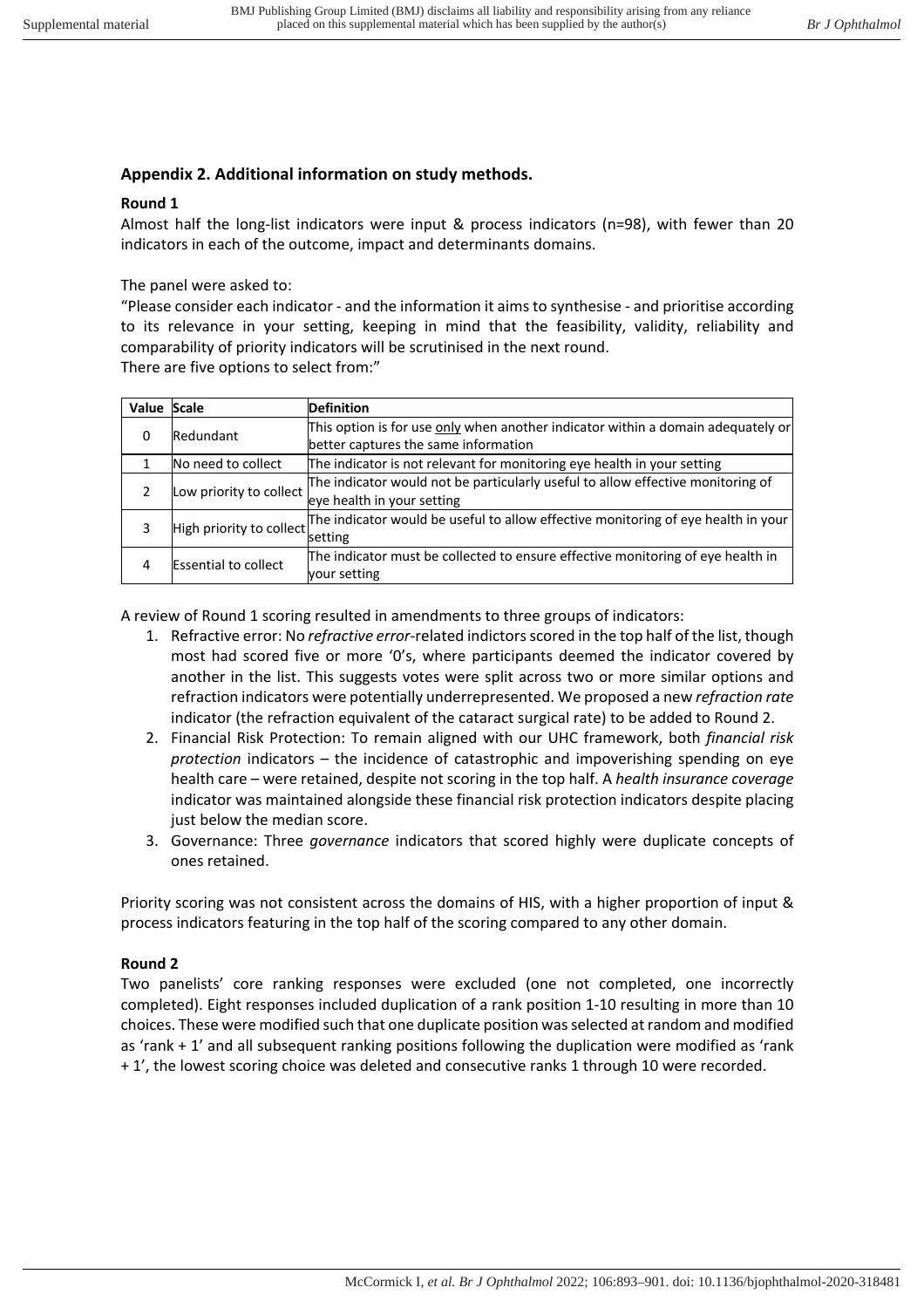## **Appendix 2. Additional information on study methods.**

## **Round 1**

Almost half the long-list indicators were input & process indicators (n=98), with fewer than 20 indicators in each of the outcome, impact and determinants domains.

The panel were asked to:

"Please consider each indicator - and the information it aims to synthesise - and prioritise according to its relevance in your setting, keeping in mind that the feasibility, validity, reliability and comparability of priority indicators will be scrutinised in the next round. There are five options to select from:"

| Value Scale |                             | <b>Definition</b>                                                                                                        |
|-------------|-----------------------------|--------------------------------------------------------------------------------------------------------------------------|
| 0           | Redundant                   | This option is for use only when another indicator within a domain adequately or<br>better captures the same information |
|             |                             |                                                                                                                          |
|             | No need to collect          | The indicator is not relevant for monitoring eye health in your setting                                                  |
|             | Low priority to collect     | The indicator would not be particularly useful to allow effective monitoring of                                          |
|             |                             | eye health in your setting                                                                                               |
|             | High priority to collect    | The indicator would be useful to allow effective monitoring of eye health in your                                        |
|             |                             | setting                                                                                                                  |
| 4           | <b>Essential to collect</b> | The indicator must be collected to ensure effective monitoring of eye health in                                          |
|             |                             | vour setting                                                                                                             |

A review of Round 1 scoring resulted in amendments to three groups of indicators:

- 1. Refractive error: No *refractive error*-related indictors scored in the top half of the list, though most had scored five or more '0's, where participants deemed the indicator covered by another in the list. This suggests votes were split across two or more similar options and refraction indicators were potentially underrepresented. We proposed a new *refraction rate* indicator (the refraction equivalent of the cataract surgical rate) to be added to Round 2.
- 2. Financial Risk Protection: To remain aligned with our UHC framework, both *financial risk protection* indicators – the incidence of catastrophic and impoverishing spending on eye health care – were retained, despite not scoring in the top half. A *health insurance coverage* indicator was maintained alongside these financial risk protection indicators despite placing just below the median score.
- 3. Governance: Three *governance* indicators that scored highly were duplicate concepts of ones retained.

Priority scoring was not consistent across the domains of HIS, with a higher proportion of input & process indicators featuring in the top half of the scoring compared to any other domain.

## **Round 2**

Two panelists' core ranking responses were excluded (one not completed, one incorrectly completed). Eight responses included duplication of a rank position 1-10 resulting in more than 10 choices. These were modified such that one duplicate position was selected at random and modified as 'rank + 1' and all subsequent ranking positions following the duplication were modified as 'rank + 1', the lowest scoring choice was deleted and consecutive ranks 1 through 10 were recorded.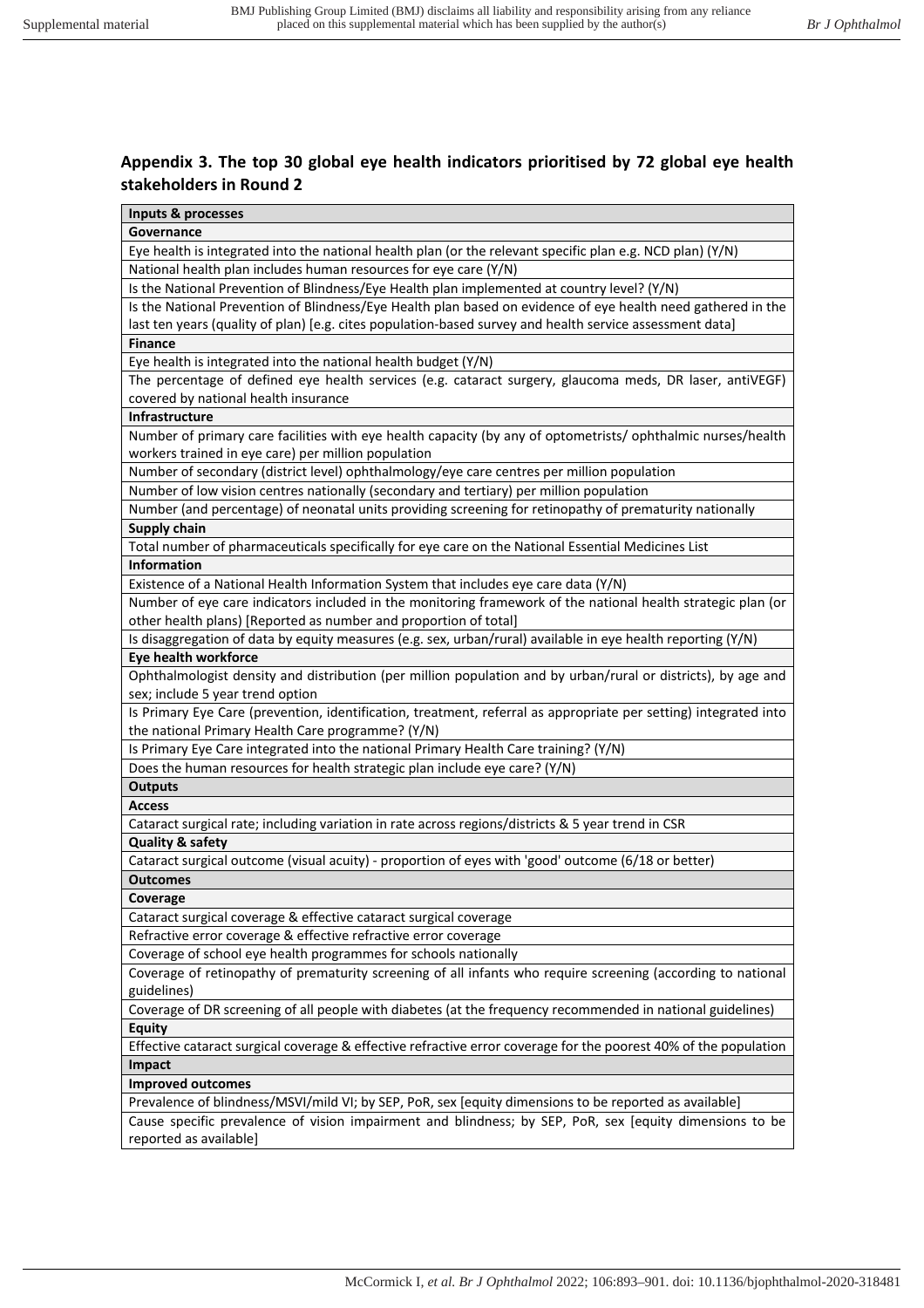## **Appendix 3. The top 30 global eye health indicators prioritised by 72 global eye health stakeholders in Round 2**

| Inputs & processes                                                                                                                 |  |  |  |
|------------------------------------------------------------------------------------------------------------------------------------|--|--|--|
| Governance                                                                                                                         |  |  |  |
| Eye health is integrated into the national health plan (or the relevant specific plan e.g. NCD plan) (Y/N)                         |  |  |  |
| National health plan includes human resources for eye care (Y/N)                                                                   |  |  |  |
| Is the National Prevention of Blindness/Eye Health plan implemented at country level? (Y/N)                                        |  |  |  |
| Is the National Prevention of Blindness/Eye Health plan based on evidence of eye health need gathered in the                       |  |  |  |
| last ten years (quality of plan) [e.g. cites population-based survey and health service assessment data]                           |  |  |  |
| <b>Finance</b>                                                                                                                     |  |  |  |
| Eye health is integrated into the national health budget (Y/N)                                                                     |  |  |  |
| The percentage of defined eye health services (e.g. cataract surgery, glaucoma meds, DR laser, antiVEGF)                           |  |  |  |
| covered by national health insurance                                                                                               |  |  |  |
| Infrastructure                                                                                                                     |  |  |  |
| Number of primary care facilities with eye health capacity (by any of optometrists/ ophthalmic nurses/health                       |  |  |  |
| workers trained in eye care) per million population                                                                                |  |  |  |
| Number of secondary (district level) ophthalmology/eye care centres per million population                                         |  |  |  |
| Number of low vision centres nationally (secondary and tertiary) per million population                                            |  |  |  |
| Number (and percentage) of neonatal units providing screening for retinopathy of prematurity nationally                            |  |  |  |
| <b>Supply chain</b>                                                                                                                |  |  |  |
| Total number of pharmaceuticals specifically for eye care on the National Essential Medicines List                                 |  |  |  |
| Information                                                                                                                        |  |  |  |
| Existence of a National Health Information System that includes eye care data (Y/N)                                                |  |  |  |
| Number of eye care indicators included in the monitoring framework of the national health strategic plan (or                       |  |  |  |
| other health plans) [Reported as number and proportion of total]                                                                   |  |  |  |
| Is disaggregation of data by equity measures (e.g. sex, urban/rural) available in eye health reporting (Y/N)                       |  |  |  |
| Eye health workforce                                                                                                               |  |  |  |
| Ophthalmologist density and distribution (per million population and by urban/rural or districts), by age and                      |  |  |  |
| sex; include 5 year trend option                                                                                                   |  |  |  |
| Is Primary Eye Care (prevention, identification, treatment, referral as appropriate per setting) integrated into                   |  |  |  |
| the national Primary Health Care programme? (Y/N)                                                                                  |  |  |  |
| Is Primary Eye Care integrated into the national Primary Health Care training? (Y/N)                                               |  |  |  |
| Does the human resources for health strategic plan include eye care? (Y/N)                                                         |  |  |  |
| <b>Outputs</b>                                                                                                                     |  |  |  |
| <b>Access</b>                                                                                                                      |  |  |  |
| Cataract surgical rate; including variation in rate across regions/districts & 5 year trend in CSR                                 |  |  |  |
| <b>Quality &amp; safety</b>                                                                                                        |  |  |  |
| Cataract surgical outcome (visual acuity) - proportion of eyes with 'good' outcome (6/18 or better)                                |  |  |  |
|                                                                                                                                    |  |  |  |
| <b>Outcomes</b>                                                                                                                    |  |  |  |
| Coverage                                                                                                                           |  |  |  |
| Cataract surgical coverage & effective cataract surgical coverage                                                                  |  |  |  |
| Refractive error coverage & effective refractive error coverage<br>Coverage of school eye health programmes for schools nationally |  |  |  |
|                                                                                                                                    |  |  |  |
| Coverage of retinopathy of prematurity screening of all infants who require screening (according to national                       |  |  |  |
| guidelines)                                                                                                                        |  |  |  |
| Coverage of DR screening of all people with diabetes (at the frequency recommended in national guidelines)                         |  |  |  |
| <b>Equity</b>                                                                                                                      |  |  |  |
| Effective cataract surgical coverage & effective refractive error coverage for the poorest 40% of the population                   |  |  |  |
| Impact                                                                                                                             |  |  |  |
| <b>Improved outcomes</b>                                                                                                           |  |  |  |
| Prevalence of blindness/MSVI/mild VI; by SEP, PoR, sex [equity dimensions to be reported as available]                             |  |  |  |
| Cause specific prevalence of vision impairment and blindness; by SEP, PoR, sex [equity dimensions to be                            |  |  |  |
| reported as available]                                                                                                             |  |  |  |